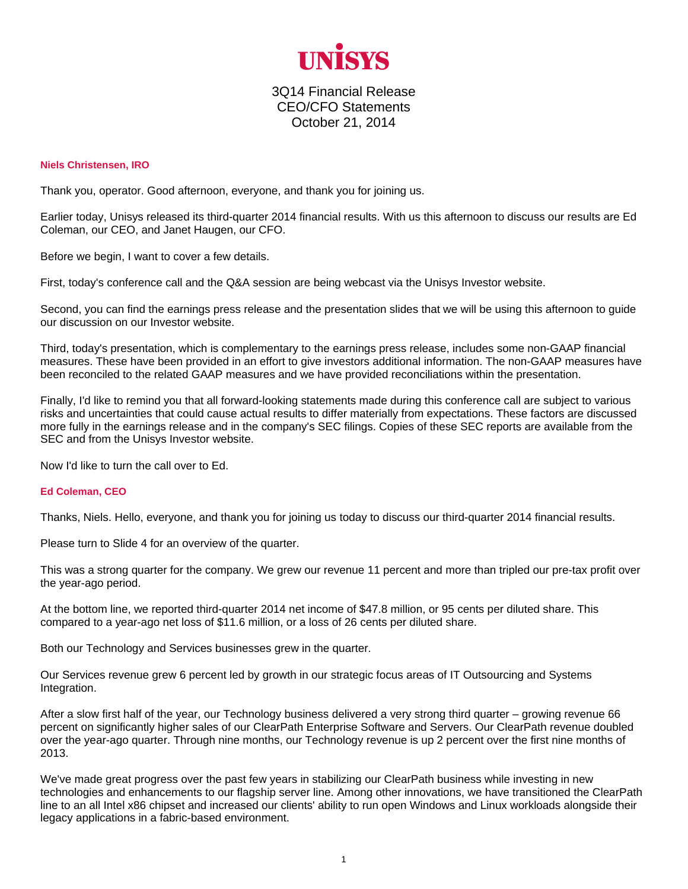

3Q14 Financial Release CEO/CFO Statements October 21, 2014

## **Niels Christensen, IRO**

Thank you, operator. Good afternoon, everyone, and thank you for joining us.

Earlier today, Unisys released its third-quarter 2014 financial results. With us this afternoon to discuss our results are Ed Coleman, our CEO, and Janet Haugen, our CFO.

Before we begin, I want to cover a few details.

First, today's conference call and the Q&A session are being webcast via the Unisys Investor website.

Second, you can find the earnings press release and the presentation slides that we will be using this afternoon to guide our discussion on our Investor website.

Third, today's presentation, which is complementary to the earnings press release, includes some non-GAAP financial measures. These have been provided in an effort to give investors additional information. The non-GAAP measures have been reconciled to the related GAAP measures and we have provided reconciliations within the presentation.

Finally, I'd like to remind you that all forward-looking statements made during this conference call are subject to various risks and uncertainties that could cause actual results to differ materially from expectations. These factors are discussed more fully in the earnings release and in the company's SEC filings. Copies of these SEC reports are available from the SEC and from the Unisys Investor website.

Now I'd like to turn the call over to Ed.

## **Ed Coleman, CEO**

Thanks, Niels. Hello, everyone, and thank you for joining us today to discuss our third-quarter 2014 financial results.

Please turn to Slide 4 for an overview of the quarter.

This was a strong quarter for the company. We grew our revenue 11 percent and more than tripled our pre-tax profit over the year-ago period.

At the bottom line, we reported third-quarter 2014 net income of \$47.8 million, or 95 cents per diluted share. This compared to a year-ago net loss of \$11.6 million, or a loss of 26 cents per diluted share.

Both our Technology and Services businesses grew in the quarter.

Our Services revenue grew 6 percent led by growth in our strategic focus areas of IT Outsourcing and Systems Integration.

After a slow first half of the year, our Technology business delivered a very strong third quarter – growing revenue 66 percent on significantly higher sales of our ClearPath Enterprise Software and Servers. Our ClearPath revenue doubled over the year-ago quarter. Through nine months, our Technology revenue is up 2 percent over the first nine months of 2013.

We've made great progress over the past few years in stabilizing our ClearPath business while investing in new technologies and enhancements to our flagship server line. Among other innovations, we have transitioned the ClearPath line to an all Intel x86 chipset and increased our clients' ability to run open Windows and Linux workloads alongside their legacy applications in a fabric-based environment.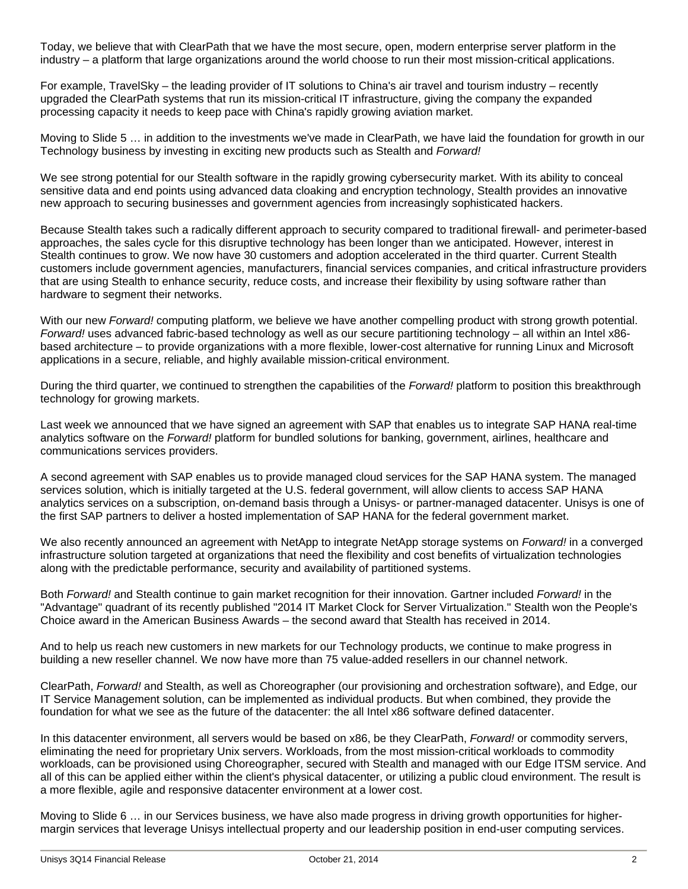Today, we believe that with ClearPath that we have the most secure, open, modern enterprise server platform in the industry – a platform that large organizations around the world choose to run their most mission-critical applications.

For example, TravelSky – the leading provider of IT solutions to China's air travel and tourism industry – recently upgraded the ClearPath systems that run its mission-critical IT infrastructure, giving the company the expanded processing capacity it needs to keep pace with China's rapidly growing aviation market.

Moving to Slide 5 … in addition to the investments we've made in ClearPath, we have laid the foundation for growth in our Technology business by investing in exciting new products such as Stealth and *Forward!*

We see strong potential for our Stealth software in the rapidly growing cybersecurity market. With its ability to conceal sensitive data and end points using advanced data cloaking and encryption technology, Stealth provides an innovative new approach to securing businesses and government agencies from increasingly sophisticated hackers.

Because Stealth takes such a radically different approach to security compared to traditional firewall- and perimeter-based approaches, the sales cycle for this disruptive technology has been longer than we anticipated. However, interest in Stealth continues to grow. We now have 30 customers and adoption accelerated in the third quarter. Current Stealth customers include government agencies, manufacturers, financial services companies, and critical infrastructure providers that are using Stealth to enhance security, reduce costs, and increase their flexibility by using software rather than hardware to segment their networks.

With our new *Forward!* computing platform, we believe we have another compelling product with strong growth potential. *Forward!* uses advanced fabric-based technology as well as our secure partitioning technology – all within an Intel x86 based architecture – to provide organizations with a more flexible, lower-cost alternative for running Linux and Microsoft applications in a secure, reliable, and highly available mission-critical environment.

During the third quarter, we continued to strengthen the capabilities of the *Forward!* platform to position this breakthrough technology for growing markets.

Last week we announced that we have signed an agreement with SAP that enables us to integrate SAP HANA real-time analytics software on the *Forward!* platform for bundled solutions for banking, government, airlines, healthcare and communications services providers.

A second agreement with SAP enables us to provide managed cloud services for the SAP HANA system. The managed services solution, which is initially targeted at the U.S. federal government, will allow clients to access SAP HANA analytics services on a subscription, on-demand basis through a Unisys- or partner-managed datacenter. Unisys is one of the first SAP partners to deliver a hosted implementation of SAP HANA for the federal government market.

We also recently announced an agreement with NetApp to integrate NetApp storage systems on *Forward!* in a converged infrastructure solution targeted at organizations that need the flexibility and cost benefits of virtualization technologies along with the predictable performance, security and availability of partitioned systems.

Both *Forward!* and Stealth continue to gain market recognition for their innovation. Gartner included *Forward!* in the "Advantage" quadrant of its recently published "2014 IT Market Clock for Server Virtualization." Stealth won the People's Choice award in the American Business Awards – the second award that Stealth has received in 2014.

And to help us reach new customers in new markets for our Technology products, we continue to make progress in building a new reseller channel. We now have more than 75 value-added resellers in our channel network.

ClearPath, *Forward!* and Stealth, as well as Choreographer (our provisioning and orchestration software), and Edge, our IT Service Management solution, can be implemented as individual products. But when combined, they provide the foundation for what we see as the future of the datacenter: the all Intel x86 software defined datacenter.

In this datacenter environment, all servers would be based on x86, be they ClearPath, *Forward!* or commodity servers, eliminating the need for proprietary Unix servers. Workloads, from the most mission-critical workloads to commodity workloads, can be provisioned using Choreographer, secured with Stealth and managed with our Edge ITSM service. And all of this can be applied either within the client's physical datacenter, or utilizing a public cloud environment. The result is a more flexible, agile and responsive datacenter environment at a lower cost.

Moving to Slide 6 … in our Services business, we have also made progress in driving growth opportunities for highermargin services that leverage Unisys intellectual property and our leadership position in end-user computing services.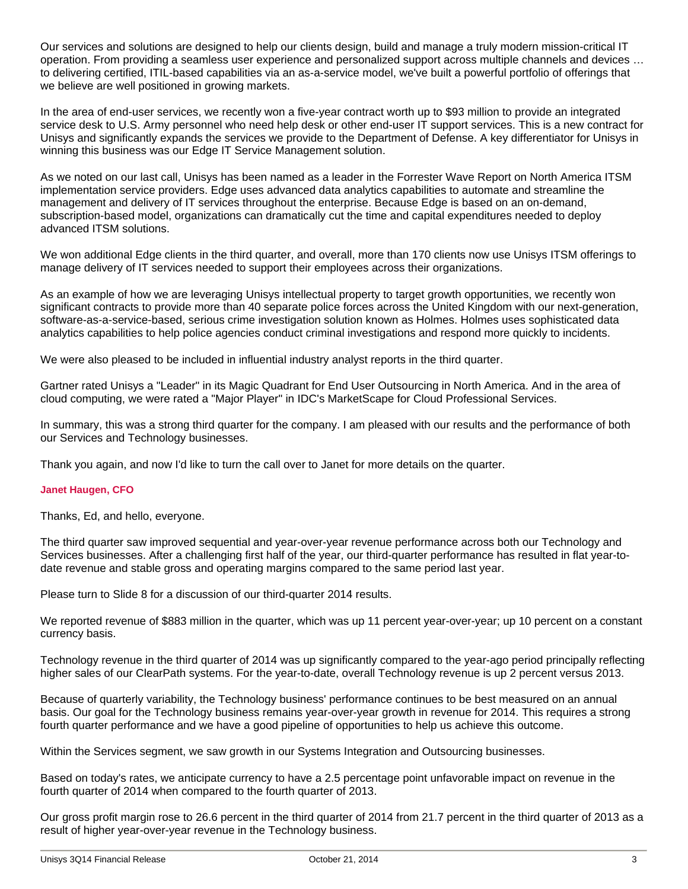Our services and solutions are designed to help our clients design, build and manage a truly modern mission-critical IT operation. From providing a seamless user experience and personalized support across multiple channels and devices … to delivering certified, ITIL-based capabilities via an as-a-service model, we've built a powerful portfolio of offerings that we believe are well positioned in growing markets.

In the area of end-user services, we recently won a five-year contract worth up to \$93 million to provide an integrated service desk to U.S. Army personnel who need help desk or other end-user IT support services. This is a new contract for Unisys and significantly expands the services we provide to the Department of Defense. A key differentiator for Unisys in winning this business was our Edge IT Service Management solution.

As we noted on our last call, Unisys has been named as a leader in the Forrester Wave Report on North America ITSM implementation service providers. Edge uses advanced data analytics capabilities to automate and streamline the management and delivery of IT services throughout the enterprise. Because Edge is based on an on-demand, subscription-based model, organizations can dramatically cut the time and capital expenditures needed to deploy advanced ITSM solutions.

We won additional Edge clients in the third quarter, and overall, more than 170 clients now use Unisys ITSM offerings to manage delivery of IT services needed to support their employees across their organizations.

As an example of how we are leveraging Unisys intellectual property to target growth opportunities, we recently won significant contracts to provide more than 40 separate police forces across the United Kingdom with our next-generation, software-as-a-service-based, serious crime investigation solution known as Holmes. Holmes uses sophisticated data analytics capabilities to help police agencies conduct criminal investigations and respond more quickly to incidents.

We were also pleased to be included in influential industry analyst reports in the third quarter.

Gartner rated Unisys a "Leader" in its Magic Quadrant for End User Outsourcing in North America. And in the area of cloud computing, we were rated a "Major Player" in IDC's MarketScape for Cloud Professional Services.

In summary, this was a strong third quarter for the company. I am pleased with our results and the performance of both our Services and Technology businesses.

Thank you again, and now I'd like to turn the call over to Janet for more details on the quarter.

## **Janet Haugen, CFO**

Thanks, Ed, and hello, everyone.

The third quarter saw improved sequential and year-over-year revenue performance across both our Technology and Services businesses. After a challenging first half of the year, our third-quarter performance has resulted in flat year-todate revenue and stable gross and operating margins compared to the same period last year.

Please turn to Slide 8 for a discussion of our third-quarter 2014 results.

We reported revenue of \$883 million in the quarter, which was up 11 percent year-over-year; up 10 percent on a constant currency basis.

Technology revenue in the third quarter of 2014 was up significantly compared to the year-ago period principally reflecting higher sales of our ClearPath systems. For the year-to-date, overall Technology revenue is up 2 percent versus 2013.

Because of quarterly variability, the Technology business' performance continues to be best measured on an annual basis. Our goal for the Technology business remains year-over-year growth in revenue for 2014. This requires a strong fourth quarter performance and we have a good pipeline of opportunities to help us achieve this outcome.

Within the Services segment, we saw growth in our Systems Integration and Outsourcing businesses.

Based on today's rates, we anticipate currency to have a 2.5 percentage point unfavorable impact on revenue in the fourth quarter of 2014 when compared to the fourth quarter of 2013.

Our gross profit margin rose to 26.6 percent in the third quarter of 2014 from 21.7 percent in the third quarter of 2013 as a result of higher year-over-year revenue in the Technology business.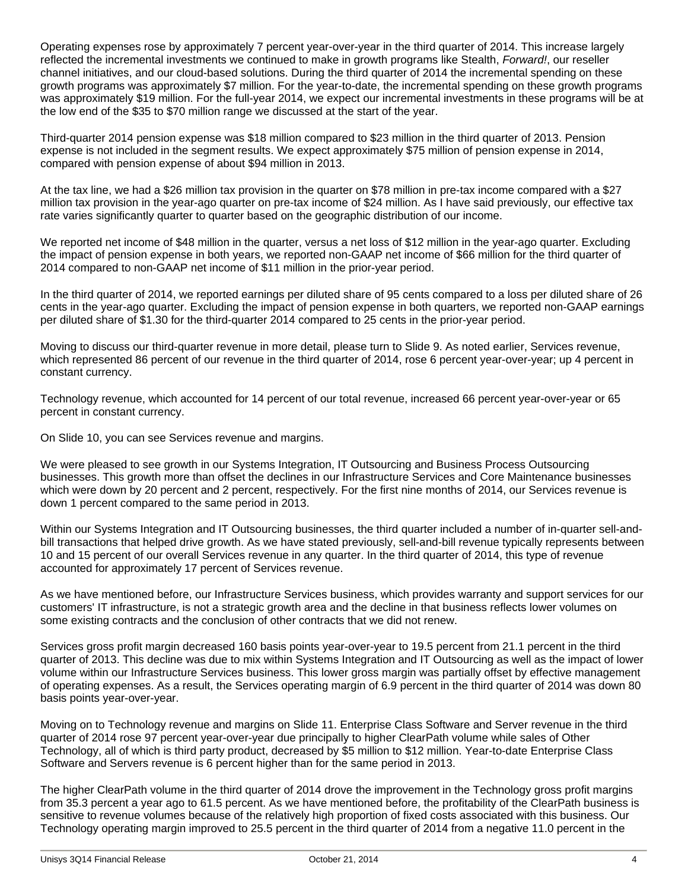Operating expenses rose by approximately 7 percent year-over-year in the third quarter of 2014. This increase largely reflected the incremental investments we continued to make in growth programs like Stealth, *Forward!*, our reseller channel initiatives, and our cloud-based solutions. During the third quarter of 2014 the incremental spending on these growth programs was approximately \$7 million. For the year-to-date, the incremental spending on these growth programs was approximately \$19 million. For the full-year 2014, we expect our incremental investments in these programs will be at the low end of the \$35 to \$70 million range we discussed at the start of the year.

Third-quarter 2014 pension expense was \$18 million compared to \$23 million in the third quarter of 2013. Pension expense is not included in the segment results. We expect approximately \$75 million of pension expense in 2014, compared with pension expense of about \$94 million in 2013.

At the tax line, we had a \$26 million tax provision in the quarter on \$78 million in pre-tax income compared with a \$27 million tax provision in the year-ago quarter on pre-tax income of \$24 million. As I have said previously, our effective tax rate varies significantly quarter to quarter based on the geographic distribution of our income.

We reported net income of \$48 million in the quarter, versus a net loss of \$12 million in the year-ago quarter. Excluding the impact of pension expense in both years, we reported non-GAAP net income of \$66 million for the third quarter of 2014 compared to non-GAAP net income of \$11 million in the prior-year period.

In the third quarter of 2014, we reported earnings per diluted share of 95 cents compared to a loss per diluted share of 26 cents in the year-ago quarter. Excluding the impact of pension expense in both quarters, we reported non-GAAP earnings per diluted share of \$1.30 for the third-quarter 2014 compared to 25 cents in the prior-year period.

Moving to discuss our third-quarter revenue in more detail, please turn to Slide 9. As noted earlier, Services revenue, which represented 86 percent of our revenue in the third quarter of 2014, rose 6 percent year-over-year; up 4 percent in constant currency.

Technology revenue, which accounted for 14 percent of our total revenue, increased 66 percent year-over-year or 65 percent in constant currency.

On Slide 10, you can see Services revenue and margins.

We were pleased to see growth in our Systems Integration, IT Outsourcing and Business Process Outsourcing businesses. This growth more than offset the declines in our Infrastructure Services and Core Maintenance businesses which were down by 20 percent and 2 percent, respectively. For the first nine months of 2014, our Services revenue is down 1 percent compared to the same period in 2013.

Within our Systems Integration and IT Outsourcing businesses, the third quarter included a number of in-quarter sell-andbill transactions that helped drive growth. As we have stated previously, sell-and-bill revenue typically represents between 10 and 15 percent of our overall Services revenue in any quarter. In the third quarter of 2014, this type of revenue accounted for approximately 17 percent of Services revenue.

As we have mentioned before, our Infrastructure Services business, which provides warranty and support services for our customers' IT infrastructure, is not a strategic growth area and the decline in that business reflects lower volumes on some existing contracts and the conclusion of other contracts that we did not renew.

Services gross profit margin decreased 160 basis points year-over-year to 19.5 percent from 21.1 percent in the third quarter of 2013. This decline was due to mix within Systems Integration and IT Outsourcing as well as the impact of lower volume within our Infrastructure Services business. This lower gross margin was partially offset by effective management of operating expenses. As a result, the Services operating margin of 6.9 percent in the third quarter of 2014 was down 80 basis points year-over-year.

Moving on to Technology revenue and margins on Slide 11. Enterprise Class Software and Server revenue in the third quarter of 2014 rose 97 percent year-over-year due principally to higher ClearPath volume while sales of Other Technology, all of which is third party product, decreased by \$5 million to \$12 million. Year-to-date Enterprise Class Software and Servers revenue is 6 percent higher than for the same period in 2013.

The higher ClearPath volume in the third quarter of 2014 drove the improvement in the Technology gross profit margins from 35.3 percent a year ago to 61.5 percent. As we have mentioned before, the profitability of the ClearPath business is sensitive to revenue volumes because of the relatively high proportion of fixed costs associated with this business. Our Technology operating margin improved to 25.5 percent in the third quarter of 2014 from a negative 11.0 percent in the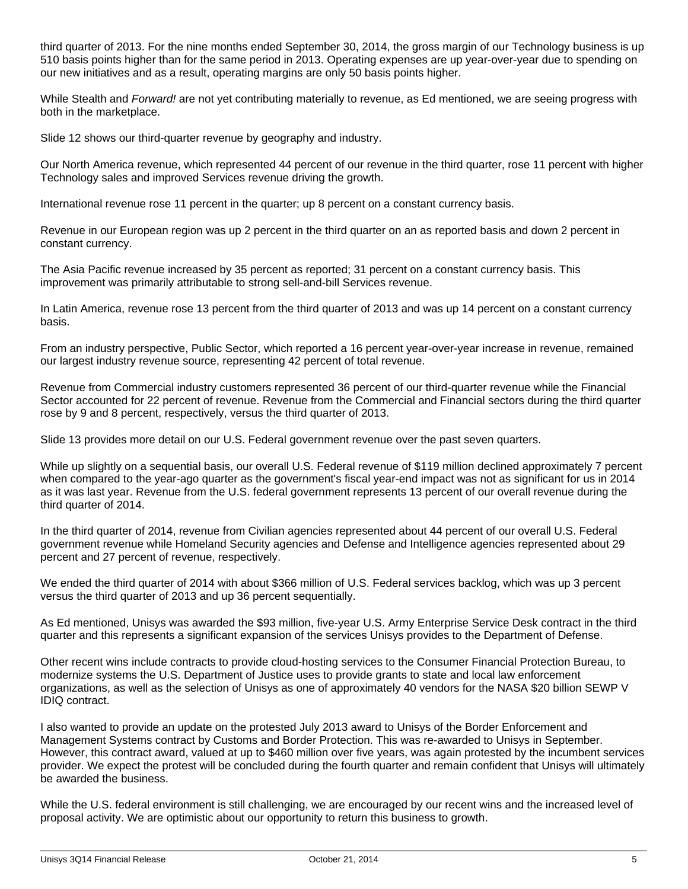third quarter of 2013. For the nine months ended September 30, 2014, the gross margin of our Technology business is up 510 basis points higher than for the same period in 2013. Operating expenses are up year-over-year due to spending on our new initiatives and as a result, operating margins are only 50 basis points higher.

While Stealth and *Forward!* are not yet contributing materially to revenue, as Ed mentioned, we are seeing progress with both in the marketplace.

Slide 12 shows our third-quarter revenue by geography and industry.

Our North America revenue, which represented 44 percent of our revenue in the third quarter, rose 11 percent with higher Technology sales and improved Services revenue driving the growth.

International revenue rose 11 percent in the quarter; up 8 percent on a constant currency basis.

Revenue in our European region was up 2 percent in the third quarter on an as reported basis and down 2 percent in constant currency.

The Asia Pacific revenue increased by 35 percent as reported; 31 percent on a constant currency basis. This improvement was primarily attributable to strong sell-and-bill Services revenue.

In Latin America, revenue rose 13 percent from the third quarter of 2013 and was up 14 percent on a constant currency basis.

From an industry perspective, Public Sector, which reported a 16 percent year-over-year increase in revenue, remained our largest industry revenue source, representing 42 percent of total revenue.

Revenue from Commercial industry customers represented 36 percent of our third-quarter revenue while the Financial Sector accounted for 22 percent of revenue. Revenue from the Commercial and Financial sectors during the third quarter rose by 9 and 8 percent, respectively, versus the third quarter of 2013.

Slide 13 provides more detail on our U.S. Federal government revenue over the past seven quarters.

While up slightly on a sequential basis, our overall U.S. Federal revenue of \$119 million declined approximately 7 percent when compared to the year-ago quarter as the government's fiscal year-end impact was not as significant for us in 2014 as it was last year. Revenue from the U.S. federal government represents 13 percent of our overall revenue during the third quarter of 2014.

In the third quarter of 2014, revenue from Civilian agencies represented about 44 percent of our overall U.S. Federal government revenue while Homeland Security agencies and Defense and Intelligence agencies represented about 29 percent and 27 percent of revenue, respectively.

We ended the third quarter of 2014 with about \$366 million of U.S. Federal services backlog, which was up 3 percent versus the third quarter of 2013 and up 36 percent sequentially.

As Ed mentioned, Unisys was awarded the \$93 million, five-year U.S. Army Enterprise Service Desk contract in the third quarter and this represents a significant expansion of the services Unisys provides to the Department of Defense.

Other recent wins include contracts to provide cloud-hosting services to the Consumer Financial Protection Bureau, to modernize systems the U.S. Department of Justice uses to provide grants to state and local law enforcement organizations, as well as the selection of Unisys as one of approximately 40 vendors for the NASA \$20 billion SEWP V IDIQ contract.

I also wanted to provide an update on the protested July 2013 award to Unisys of the Border Enforcement and Management Systems contract by Customs and Border Protection. This was re-awarded to Unisys in September. However, this contract award, valued at up to \$460 million over five years, was again protested by the incumbent services provider. We expect the protest will be concluded during the fourth quarter and remain confident that Unisys will ultimately be awarded the business.

While the U.S. federal environment is still challenging, we are encouraged by our recent wins and the increased level of proposal activity. We are optimistic about our opportunity to return this business to growth.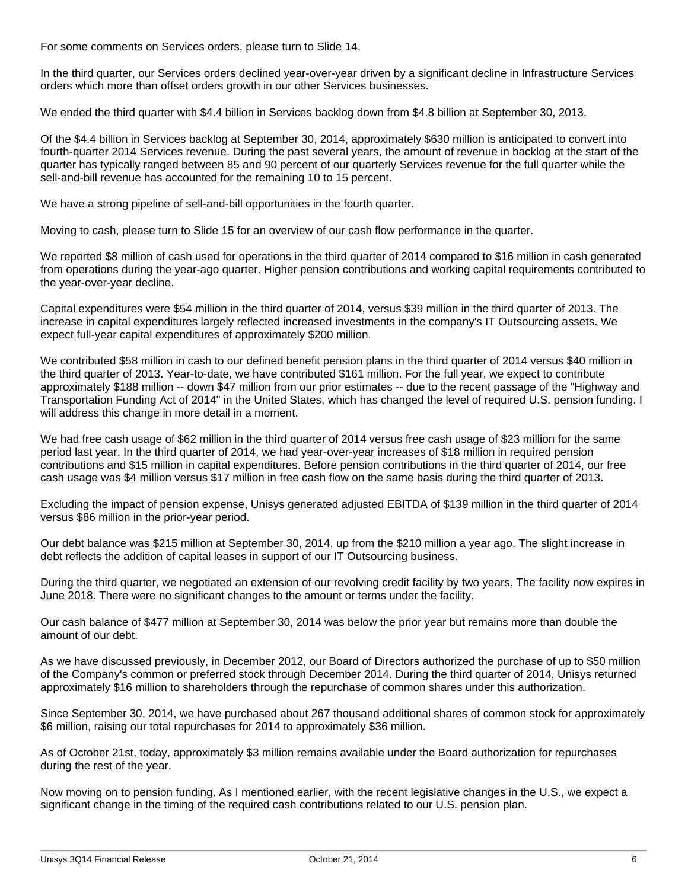For some comments on Services orders, please turn to Slide 14.

In the third quarter, our Services orders declined year-over-year driven by a significant decline in Infrastructure Services orders which more than offset orders growth in our other Services businesses.

We ended the third quarter with \$4.4 billion in Services backlog down from \$4.8 billion at September 30, 2013.

Of the \$4.4 billion in Services backlog at September 30, 2014, approximately \$630 million is anticipated to convert into fourth-quarter 2014 Services revenue. During the past several years, the amount of revenue in backlog at the start of the quarter has typically ranged between 85 and 90 percent of our quarterly Services revenue for the full quarter while the sell-and-bill revenue has accounted for the remaining 10 to 15 percent.

We have a strong pipeline of sell-and-bill opportunities in the fourth quarter.

Moving to cash, please turn to Slide 15 for an overview of our cash flow performance in the quarter.

We reported \$8 million of cash used for operations in the third quarter of 2014 compared to \$16 million in cash generated from operations during the year-ago quarter. Higher pension contributions and working capital requirements contributed to the year-over-year decline.

Capital expenditures were \$54 million in the third quarter of 2014, versus \$39 million in the third quarter of 2013. The increase in capital expenditures largely reflected increased investments in the company's IT Outsourcing assets. We expect full-year capital expenditures of approximately \$200 million.

We contributed \$58 million in cash to our defined benefit pension plans in the third quarter of 2014 versus \$40 million in the third quarter of 2013. Year-to-date, we have contributed \$161 million. For the full year, we expect to contribute approximately \$188 million -- down \$47 million from our prior estimates -- due to the recent passage of the "Highway and Transportation Funding Act of 2014" in the United States, which has changed the level of required U.S. pension funding. I will address this change in more detail in a moment.

We had free cash usage of \$62 million in the third quarter of 2014 versus free cash usage of \$23 million for the same period last year. In the third quarter of 2014, we had year-over-year increases of \$18 million in required pension contributions and \$15 million in capital expenditures. Before pension contributions in the third quarter of 2014, our free cash usage was \$4 million versus \$17 million in free cash flow on the same basis during the third quarter of 2013.

Excluding the impact of pension expense, Unisys generated adjusted EBITDA of \$139 million in the third quarter of 2014 versus \$86 million in the prior-year period.

Our debt balance was \$215 million at September 30, 2014, up from the \$210 million a year ago. The slight increase in debt reflects the addition of capital leases in support of our IT Outsourcing business.

During the third quarter, we negotiated an extension of our revolving credit facility by two years. The facility now expires in June 2018. There were no significant changes to the amount or terms under the facility.

Our cash balance of \$477 million at September 30, 2014 was below the prior year but remains more than double the amount of our debt.

As we have discussed previously, in December 2012, our Board of Directors authorized the purchase of up to \$50 million of the Company's common or preferred stock through December 2014. During the third quarter of 2014, Unisys returned approximately \$16 million to shareholders through the repurchase of common shares under this authorization.

Since September 30, 2014, we have purchased about 267 thousand additional shares of common stock for approximately \$6 million, raising our total repurchases for 2014 to approximately \$36 million.

As of October 21st, today, approximately \$3 million remains available under the Board authorization for repurchases during the rest of the year.

Now moving on to pension funding. As I mentioned earlier, with the recent legislative changes in the U.S., we expect a significant change in the timing of the required cash contributions related to our U.S. pension plan.